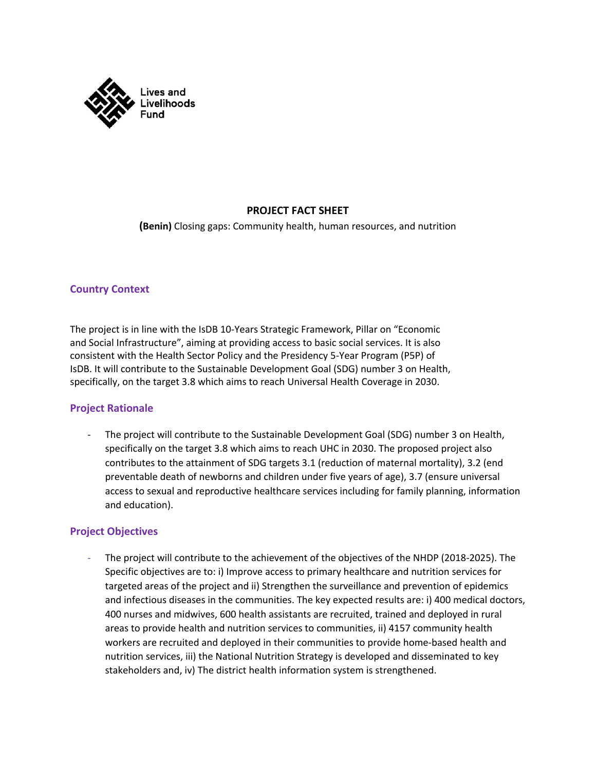

# **PROJECT FACT SHEET**

**(Benin)** Closing gaps: Community health, human resources, and nutrition

### **Country Context**

The project is in line with the IsDB 10-Years Strategic Framework, Pillar on "Economic and Social Infrastructure", aiming at providing access to basic social services. It is also consistent with the Health Sector Policy and the Presidency 5-Year Program (P5P) of IsDB. It will contribute to the Sustainable Development Goal (SDG) number 3 on Health, specifically, on the target 3.8 which aims to reach Universal Health Coverage in 2030.

# **Project Rationale**

The project will contribute to the Sustainable Development Goal (SDG) number 3 on Health, specifically on the target 3.8 which aims to reach UHC in 2030. The proposed project also contributes to the attainment of SDG targets 3.1 (reduction of maternal mortality), 3.2 (end preventable death of newborns and children under five years of age), 3.7 (ensure universal access to sexual and reproductive healthcare services including for family planning, information and education).

# **Project Objectives**

The project will contribute to the achievement of the objectives of the NHDP (2018-2025). The Specific objectives are to: i) Improve access to primary healthcare and nutrition services for targeted areas of the project and ii) Strengthen the surveillance and prevention of epidemics and infectious diseases in the communities. The key expected results are: i) 400 medical doctors, 400 nurses and midwives, 600 health assistants are recruited, trained and deployed in rural areas to provide health and nutrition services to communities, ii) 4157 community health workers are recruited and deployed in their communities to provide home-based health and nutrition services, iii) the National Nutrition Strategy is developed and disseminated to key stakeholders and, iv) The district health information system is strengthened.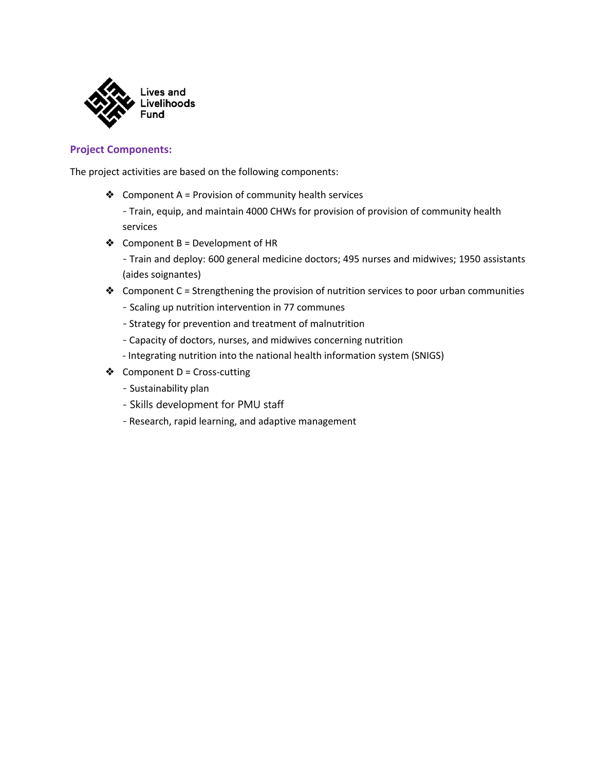

## **Project Components:**

The project activities are based on the following components:

❖ Component A = Provision of community health services

- Train, equip, and maintain 4000 CHWs for provision of provision of community health services

- ❖ Component B = Development of HR
	- Train and deploy: 600 general medicine doctors; 495 nurses and midwives; 1950 assistants (aides soignantes)
- ❖ Component C = Strengthening the provision of nutrition services to poor urban communities
	- Scaling up nutrition intervention in 77 communes
	- Strategy for prevention and treatment of malnutrition
	- Capacity of doctors, nurses, and midwives concerning nutrition
	- Integrating nutrition into the national health information system (SNIGS)
- $\triangleleft$  Component D = Cross-cutting
	- Sustainability plan
	- Skills development for PMU staff
	- Research, rapid learning, and adaptive management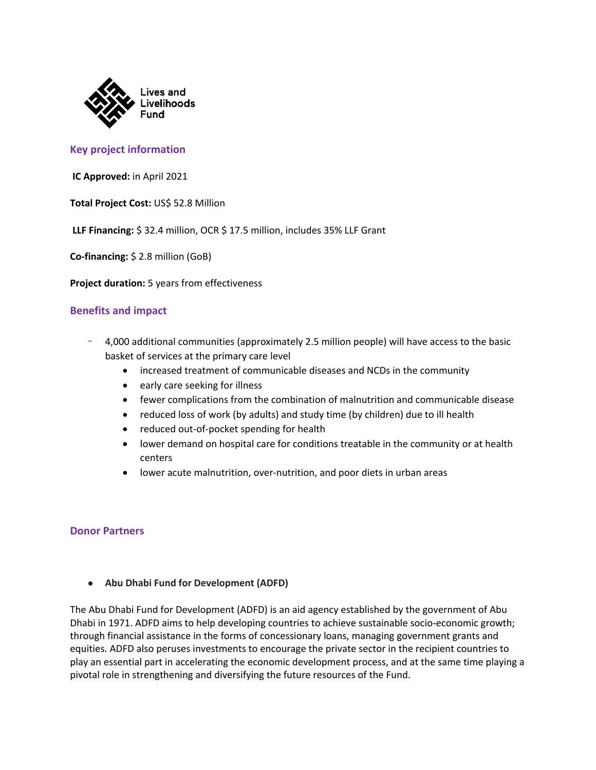

## **Key project information**

**IC Approved:** in April 2021

**Total Project Cost:** US\$ 52.8 Million

**LLF Financing:** \$ 32.4 million, OCR \$ 17.5 million, includes 35% LLF Grant

**Co-financing:** \$ 2.8 million (GoB)

**Project duration:** 5 years from effectiveness

### **Benefits and impact**

- 4,000 additional communities (approximately 2.5 million people) will have access to the basic basket of services at the primary care level
	- increased treatment of communicable diseases and NCDs in the community
	- early care seeking for illness
	- fewer complications from the combination of malnutrition and communicable disease
	- reduced loss of work (by adults) and study time (by children) due to ill health
	- reduced out-of-pocket spending for health
	- lower demand on hospital care for conditions treatable in the community or at health centers
	- lower acute malnutrition, over-nutrition, and poor diets in urban areas

#### **Donor Partners**

#### ● **Abu Dhabi Fund for Development (ADFD)**

The Abu Dhabi Fund for Development (ADFD) is an aid agency established by the government of Abu Dhabi in 1971. ADFD aims to help developing countries to achieve sustainable socio-economic growth; through financial assistance in the forms of concessionary loans, managing government grants and equities. ADFD also peruses investments to encourage the private sector in the recipient countries to play an essential part in accelerating the economic development process, and at the same time playing a pivotal role in strengthening and diversifying the future resources of the Fund.